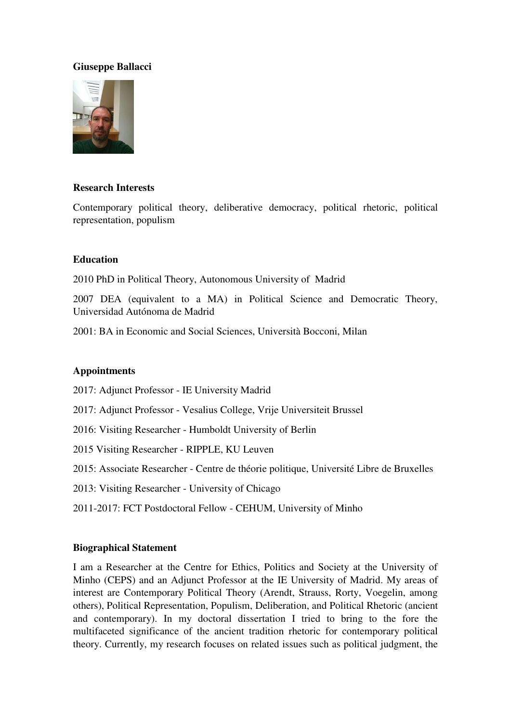### **Giuseppe Ballacci**



#### **Research Interests**

Contemporary political theory, deliberative democracy, political rhetoric, political representation, populism

#### **Education**

2010 PhD in Political Theory, Autonomous University of Madrid

2007 DEA (equivalent to a MA) in Political Science and Democratic Theory, Universidad Autónoma de Madrid

2001: BA in Economic and Social Sciences, Università Bocconi, Milan

#### **Appointments**

2017: Adjunct Professor - IE University Madrid

- 2017: Adjunct Professor Vesalius College, Vrije Universiteit Brussel
- 2016: Visiting Researcher Humboldt University of Berlin

2015 Visiting Researcher - RIPPLE, KU Leuven

2015: Associate Researcher - Centre de théorie politique, Université Libre de Bruxelles

- 2013: Visiting Researcher University of Chicago
- 2011-2017: FCT Postdoctoral Fellow CEHUM, University of Minho

#### **Biographical Statement**

I am a Researcher at the Centre for Ethics, Politics and Society at the University of Minho (CEPS) and an Adjunct Professor at the IE University of Madrid. My areas of interest are Contemporary Political Theory (Arendt, Strauss, Rorty, Voegelin, among others), Political Representation, Populism, Deliberation, and Political Rhetoric (ancient and contemporary). In my doctoral dissertation I tried to bring to the fore the multifaceted significance of the ancient tradition rhetoric for contemporary political theory. Currently, my research focuses on related issues such as political judgment, the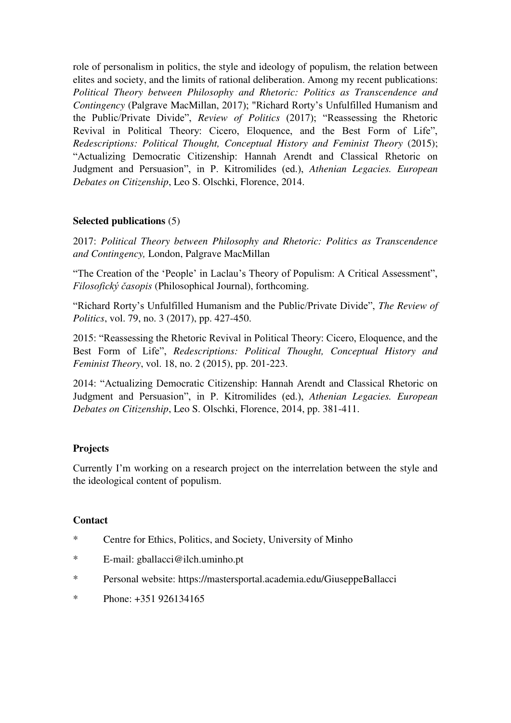role of personalism in politics, the style and ideology of populism, the relation between elites and society, and the limits of rational deliberation. Among my recent publications: *Political Theory between Philosophy and Rhetoric: Politics as Transcendence and Contingency* (Palgrave MacMillan, 2017); "Richard Rorty's Unfulfilled Humanism and the Public/Private Divide", *Review of Politics* (2017); "Reassessing the Rhetoric Revival in Political Theory: Cicero, Eloquence, and the Best Form of Life", *Redescriptions: Political Thought, Conceptual History and Feminist Theory* (2015); "Actualizing Democratic Citizenship: Hannah Arendt and Classical Rhetoric on Judgment and Persuasion", in P. Kitromilides (ed.), *Athenian Legacies. European Debates on Citizenship*, Leo S. Olschki, Florence, 2014.

# **Selected publications** (5)

2017: *Political Theory between Philosophy and Rhetoric: Politics as Transcendence and Contingency,* London, Palgrave MacMillan

"The Creation of the 'People' in Laclau's Theory of Populism: A Critical Assessment", *Filosofický časopis* (Philosophical Journal), forthcoming.

"Richard Rorty's Unfulfilled Humanism and the Public/Private Divide", *The Review of Politics*, vol. 79, no. 3 (2017), pp. 427-450.

2015: "Reassessing the Rhetoric Revival in Political Theory: Cicero, Eloquence, and the Best Form of Life", *Redescriptions: Political Thought, Conceptual History and Feminist Theory*, vol. 18, no. 2 (2015), pp. 201-223.

2014: "Actualizing Democratic Citizenship: Hannah Arendt and Classical Rhetoric on Judgment and Persuasion", in P. Kitromilides (ed.), *Athenian Legacies. European Debates on Citizenship*, Leo S. Olschki, Florence, 2014, pp. 381-411.

# **Projects**

Currently I'm working on a research project on the interrelation between the style and the ideological content of populism.

# **Contact**

- \* Centre for Ethics, Politics, and Society, University of Minho
- \* E-mail: gballacci@ilch.uminho.pt
- \* Personal website: https://mastersportal.academia.edu/GiuseppeBallacci
- \* Phone: +351 926134165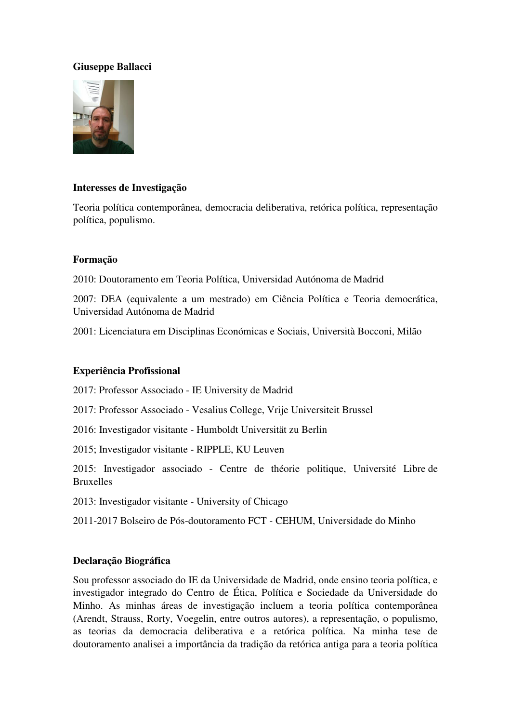# **Giuseppe Ballacci**



#### **Interesses de Investigação**

Teoria política contemporânea, democracia deliberativa, retórica política, representação política, populismo.

#### **Formação**

2010: Doutoramento em Teoria Política, Universidad Autónoma de Madrid

2007: DEA (equivalente a um mestrado) em Ciência Política e Teoria democrática, Universidad Autónoma de Madrid

2001: Licenciatura em Disciplinas Económicas e Sociais, Università Bocconi, Milão

# **Experiência Profissional**

2017: Professor Associado - IE University de Madrid

2017: Professor Associado - Vesalius College, Vrije Universiteit Brussel

2016: Investigador visitante - Humboldt Universität zu Berlin

2015; Investigador visitante - RIPPLE, KU Leuven

2015: Investigador associado - Centre de théorie politique, Université Libre de Bruxelles

2013: Investigador visitante - University of Chicago

2011-2017 Bolseiro de Pós-doutoramento FCT - CEHUM, Universidade do Minho

# **Declaração Biográfica**

Sou professor associado do IE da Universidade de Madrid, onde ensino teoria política, e investigador integrado do Centro de Ética, Política e Sociedade da Universidade do Minho. As minhas áreas de investigação incluem a teoria política contemporânea (Arendt, Strauss, Rorty, Voegelin, entre outros autores), a representação, o populismo, as teorias da democracia deliberativa e a retórica política. Na minha tese de doutoramento analisei a importância da tradição da retórica antiga para a teoria política